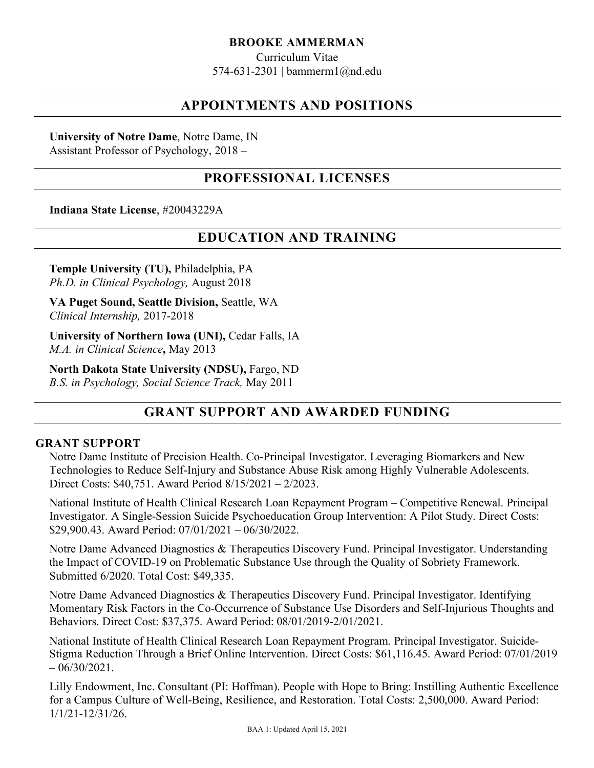#### **BROOKE AMMERMAN**

Curriculum Vitae 574-631-2301 | bammerm1@nd.edu

## **APPOINTMENTS AND POSITIONS**

**University of Notre Dame**, Notre Dame, IN Assistant Professor of Psychology, 2018 –

## **PROFESSIONAL LICENSES**

**Indiana State License**, #20043229A

## **EDUCATION AND TRAINING**

**Temple University (TU),** Philadelphia, PA *Ph.D. in Clinical Psychology,* August 2018

**VA Puget Sound, Seattle Division,** Seattle, WA *Clinical Internship,* 2017-2018

**University of Northern Iowa (UNI),** Cedar Falls, IA *M.A. in Clinical Science***,** May 2013

**North Dakota State University (NDSU),** Fargo, ND *B.S. in Psychology, Social Science Track,* May 2011

# **GRANT SUPPORT AND AWARDED FUNDING**

#### **GRANT SUPPORT**

Notre Dame Institute of Precision Health. Co-Principal Investigator. Leveraging Biomarkers and New Technologies to Reduce Self-Injury and Substance Abuse Risk among Highly Vulnerable Adolescents. Direct Costs: \$40,751. Award Period 8/15/2021 – 2/2023.

National Institute of Health Clinical Research Loan Repayment Program – Competitive Renewal. Principal Investigator. A Single-Session Suicide Psychoeducation Group Intervention: A Pilot Study. Direct Costs: \$29,900.43. Award Period: 07/01/2021 – 06/30/2022.

Notre Dame Advanced Diagnostics & Therapeutics Discovery Fund. Principal Investigator. Understanding the Impact of COVID-19 on Problematic Substance Use through the Quality of Sobriety Framework. Submitted 6/2020. Total Cost: \$49,335.

Notre Dame Advanced Diagnostics & Therapeutics Discovery Fund. Principal Investigator. Identifying Momentary Risk Factors in the Co-Occurrence of Substance Use Disorders and Self-Injurious Thoughts and Behaviors. Direct Cost: \$37,375. Award Period: 08/01/2019-2/01/2021.

National Institute of Health Clinical Research Loan Repayment Program. Principal Investigator. Suicide-Stigma Reduction Through a Brief Online Intervention. Direct Costs: \$61,116.45. Award Period: 07/01/2019  $-06/30/2021$ .

Lilly Endowment, Inc. Consultant (PI: Hoffman). People with Hope to Bring: Instilling Authentic Excellence for a Campus Culture of Well-Being, Resilience, and Restoration. Total Costs: 2,500,000. Award Period: 1/1/21-12/31/26.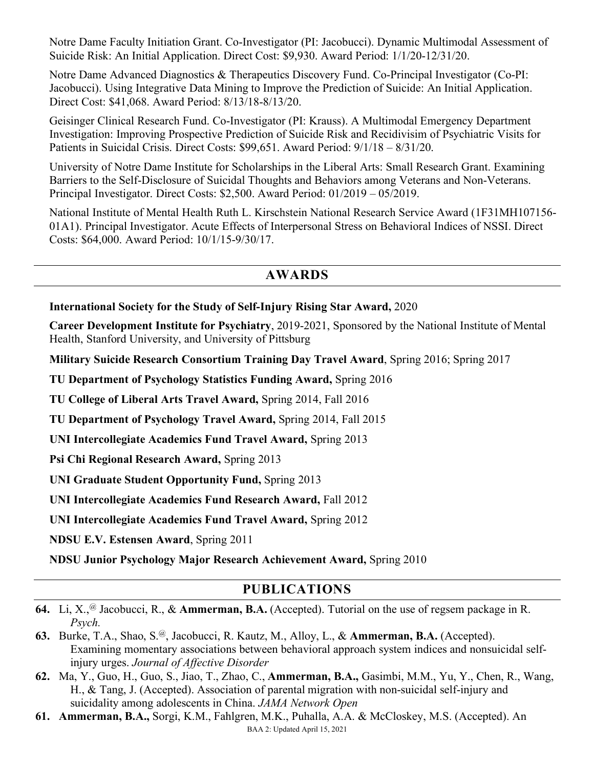Notre Dame Faculty Initiation Grant. Co-Investigator (PI: Jacobucci). Dynamic Multimodal Assessment of Suicide Risk: An Initial Application. Direct Cost: \$9,930. Award Period: 1/1/20-12/31/20.

Notre Dame Advanced Diagnostics & Therapeutics Discovery Fund. Co-Principal Investigator (Co-PI: Jacobucci). Using Integrative Data Mining to Improve the Prediction of Suicide: An Initial Application. Direct Cost: \$41,068. Award Period: 8/13/18-8/13/20.

Geisinger Clinical Research Fund. Co-Investigator (PI: Krauss). A Multimodal Emergency Department Investigation: Improving Prospective Prediction of Suicide Risk and Recidivisim of Psychiatric Visits for Patients in Suicidal Crisis. Direct Costs: \$99,651. Award Period: 9/1/18 – 8/31/20.

University of Notre Dame Institute for Scholarships in the Liberal Arts: Small Research Grant. Examining Barriers to the Self-Disclosure of Suicidal Thoughts and Behaviors among Veterans and Non-Veterans. Principal Investigator. Direct Costs: \$2,500. Award Period: 01/2019 – 05/2019.

National Institute of Mental Health Ruth L. Kirschstein National Research Service Award (1F31MH107156- 01A1). Principal Investigator. Acute Effects of Interpersonal Stress on Behavioral Indices of NSSI. Direct Costs: \$64,000. Award Period: 10/1/15-9/30/17.

# **AWARDS**

### **International Society for the Study of Self-Injury Rising Star Award,** 2020

**Career Development Institute for Psychiatry**, 2019-2021, Sponsored by the National Institute of Mental Health, Stanford University, and University of Pittsburg

**Military Suicide Research Consortium Training Day Travel Award**, Spring 2016; Spring 2017

**TU Department of Psychology Statistics Funding Award,** Spring 2016

**TU College of Liberal Arts Travel Award,** Spring 2014, Fall 2016

**TU Department of Psychology Travel Award,** Spring 2014, Fall 2015

**UNI Intercollegiate Academics Fund Travel Award,** Spring 2013

**Psi Chi Regional Research Award,** Spring 2013

**UNI Graduate Student Opportunity Fund,** Spring 2013

**UNI Intercollegiate Academics Fund Research Award,** Fall 2012

**UNI Intercollegiate Academics Fund Travel Award,** Spring 2012

**NDSU E.V. Estensen Award**, Spring 2011

**NDSU Junior Psychology Major Research Achievement Award,** Spring 2010

# **PUBLICATIONS**

- **64.** Li, X.,@ Jacobucci, R., & **Ammerman, B.A.** (Accepted). Tutorial on the use of regsem package in R. *Psych.*
- **63.** Burke, T.A., Shao, S.@, Jacobucci, R. Kautz, M., Alloy, L., & **Ammerman, B.A.** (Accepted). Examining momentary associations between behavioral approach system indices and nonsuicidal selfinjury urges. *Journal of Affective Disorder*
- **62.** Ma, Y., Guo, H., Guo, S., Jiao, T., Zhao, C., **Ammerman, B.A.,** Gasimbi, M.M., Yu, Y., Chen, R., Wang, H., & Tang, J. (Accepted). Association of parental migration with non-suicidal self-injury and suicidality among adolescents in China. *JAMA Network Open*
- BAA 2: Updated April 15, 2021 **61. Ammerman, B.A.,** Sorgi, K.M., Fahlgren, M.K., Puhalla, A.A. & McCloskey, M.S. (Accepted). An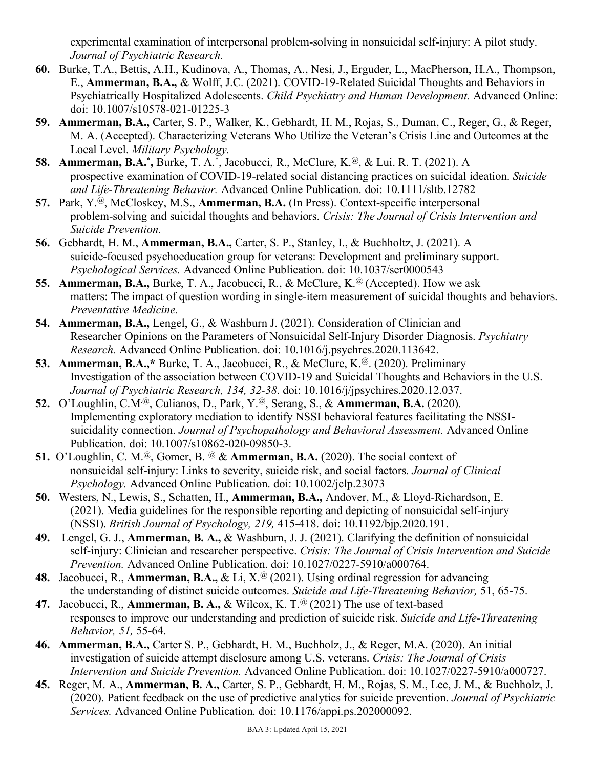experimental examination of interpersonal problem-solving in nonsuicidal self-injury: A pilot study. *Journal of Psychiatric Research.* 

- **60.** Burke, T.A., Bettis, A.H., Kudinova, A., Thomas, A., Nesi, J., Erguder, L., MacPherson, H.A., Thompson, E., **Ammerman, B.A.,** & Wolff, J.C. (2021). COVID-19-Related Suicidal Thoughts and Behaviors in Psychiatrically Hospitalized Adolescents. *Child Psychiatry and Human Development.* Advanced Online: doi: 10.1007/s10578-021-01225-3
- **59. Ammerman, B.A.,** Carter, S. P., Walker, K., Gebhardt, H. M., Rojas, S., Duman, C., Reger, G., & Reger, M. A. (Accepted). Characterizing Veterans Who Utilize the Veteran's Crisis Line and Outcomes at the Local Level. *Military Psychology.*
- **58. Ammerman, B.A.\*, Burke, T. A.\*, Jacobucci, R., McClure, K.@, & Lui. R. T. (2021). A** prospective examination of COVID-19-related social distancing practices on suicidal ideation. *Suicide and Life-Threatening Behavior.* Advanced Online Publication. doi: 10.1111/sltb.12782
- **57.** Park, Y.@, McCloskey, M.S., **Ammerman, B.A.** (In Press). Context-specific interpersonal problem-solving and suicidal thoughts and behaviors. *Crisis: The Journal of Crisis Intervention and Suicide Prevention.*
- **56.** Gebhardt, H. M., **Ammerman, B.A.,** Carter, S. P., Stanley, I., & Buchholtz, J. (2021). A suicide-focused psychoeducation group for veterans: Development and preliminary support. *Psychological Services.* Advanced Online Publication. doi: 10.1037/ser0000543
- **55. Ammerman, B.A., Burke, T. A., Jacobucci, R., & McClure, K.<sup>@</sup> (Accepted). How we ask** matters: The impact of question wording in single-item measurement of suicidal thoughts and behaviors. *Preventative Medicine.*
- **54. Ammerman, B.A.,** Lengel, G., & Washburn J. (2021). Consideration of Clinician and Researcher Opinions on the Parameters of Nonsuicidal Self-Injury Disorder Diagnosis. *Psychiatry Research.* Advanced Online Publication. doi: 10.1016/j.psychres.2020.113642.
- **53. Ammerman, B.A.,\*** Burke, T. A., Jacobucci, R., & McClure, K.@. (2020). Preliminary Investigation of the association between COVID-19 and Suicidal Thoughts and Behaviors in the U.S. *Journal of Psychiatric Research, 134, 32-38*. doi: 10.1016/j/jpsychires.2020.12.037.
- **52.** O'Loughlin, C.M.@, Culianos, D., Park, Y.@, Serang, S., & **Ammerman, B.A.** (2020). Implementing exploratory mediation to identify NSSI behavioral features facilitating the NSSIsuicidality connection. *Journal of Psychopathology and Behavioral Assessment.* Advanced Online Publication. doi: 10.1007/s10862-020-09850-3.
- **51.** O'Loughlin, C. M.<sup>@</sup>, Gomer, B. <sup>@</sup> & **Ammerman, B.A.** (2020). The social context of nonsuicidal self-injury: Links to severity, suicide risk, and social factors. *Journal of Clinical Psychology.* Advanced Online Publication. doi: 10.1002/jclp.23073
- **50.** Westers, N., Lewis, S., Schatten, H., **Ammerman, B.A.,** Andover, M., & Lloyd-Richardson, E. (2021). Media guidelines for the responsible reporting and depicting of nonsuicidal self-injury (NSSI). *British Journal of Psychology, 219,* 415-418. doi: 10.1192/bjp.2020.191.
- **49.** Lengel, G. J., **Ammerman, B. A.,** & Washburn, J. J. (2021). Clarifying the definition of nonsuicidal self-injury: Clinician and researcher perspective. *Crisis: The Journal of Crisis Intervention and Suicide Prevention.* Advanced Online Publication. doi: 10.1027/0227-5910/a000764.
- **48.** Jacobucci, R., **Ammerman, B.A., &** Li, X.<sup>@</sup> (2021). Using ordinal regression for advancing the understanding of distinct suicide outcomes. *Suicide and Life-Threatening Behavior,* 51, 65-75.
- **47.** Jacobucci, R., **Ammerman, B. A.,** & Wilcox, K. T.@ (2021) The use of text-based responses to improve our understanding and prediction of suicide risk. *Suicide and Life-Threatening Behavior, 51,* 55-64.
- **46. Ammerman, B.A.,** Carter S. P., Gebhardt, H. M., Buchholz, J., & Reger, M.A. (2020). An initial investigation of suicide attempt disclosure among U.S. veterans. *Crisis: The Journal of Crisis Intervention and Suicide Prevention.* Advanced Online Publication. doi: 10.1027/0227-5910/a000727.
- **45.** Reger, M. A., **Ammerman, B. A.,** Carter, S. P., Gebhardt, H. M., Rojas, S. M., Lee, J. M., & Buchholz, J. (2020). Patient feedback on the use of predictive analytics for suicide prevention. *Journal of Psychiatric Services.* Advanced Online Publication. doi: 10.1176/appi.ps.202000092.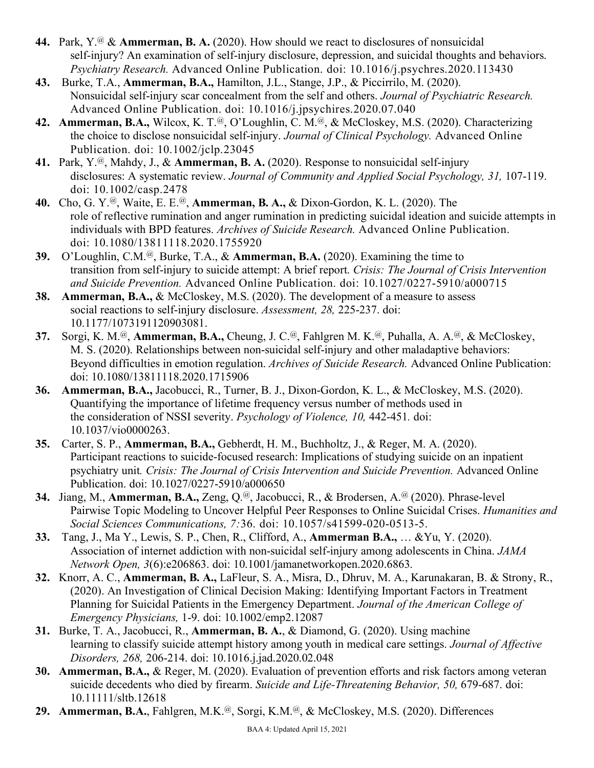- **44.** Park, Y.@ & **Ammerman, B. A.** (2020). How should we react to disclosures of nonsuicidal self-injury? An examination of self-injury disclosure, depression, and suicidal thoughts and behaviors. *Psychiatry Research.* Advanced Online Publication. doi: 10.1016/j.psychres.2020.113430
- **43.** Burke, T.A., **Ammerman, B.A.,** Hamilton, J.L., Stange, J.P., & Piccirrilo, M. (2020). Nonsuicidal self-injury scar concealment from the self and others. *Journal of Psychiatric Research.* Advanced Online Publication. doi: 10.1016/j.jpsychires.2020.07.040
- **42. Ammerman, B.A.,** Wilcox, K. T.@, O'Loughlin, C. M.@, & McCloskey, M.S. (2020). Characterizing the choice to disclose nonsuicidal self-injury. *Journal of Clinical Psychology.* Advanced Online Publication. doi: 10.1002/jclp.23045
- **41.** Park, Y.@, Mahdy, J., & **Ammerman, B. A.** (2020). Response to nonsuicidal self-injury disclosures: A systematic review. *Journal of Community and Applied Social Psychology, 31,* 107-119. doi: 10.1002/casp.2478
- **40.** Cho, G. Y.@, Waite, E. E.@, **Ammerman, B. A.,** & Dixon-Gordon, K. L. (2020). The role of reflective rumination and anger rumination in predicting suicidal ideation and suicide attempts in individuals with BPD features. *Archives of Suicide Research.* Advanced Online Publication. doi: 10.1080/13811118.2020.1755920
- **39.** O'Loughlin, C.M.@, Burke, T.A., & **Ammerman, B.A.** (2020). Examining the time to transition from self-injury to suicide attempt: A brief report. *Crisis: The Journal of Crisis Intervention and Suicide Prevention.* Advanced Online Publication. doi: 10.1027/0227-5910/a000715
- **38. Ammerman, B.A.,** & McCloskey, M.S. (2020). The development of a measure to assess social reactions to self-injury disclosure. *Assessment, 28,* 225-237. doi: 10.1177/1073191120903081.
- **37.** Sorgi, K. M.@, **Ammerman, B.A.,** Cheung, J. C.@, Fahlgren M. K.@, Puhalla, A. A.@, & McCloskey, M. S. (2020). Relationships between non-suicidal self-injury and other maladaptive behaviors: Beyond difficulties in emotion regulation. *Archives of Suicide Research.* Advanced Online Publication: doi: 10.1080/13811118.2020.1715906
- **36. Ammerman, B.A.,** Jacobucci, R., Turner, B. J., Dixon-Gordon, K. L., & McCloskey, M.S. (2020). Quantifying the importance of lifetime frequency versus number of methods used in the consideration of NSSI severity. *Psychology of Violence, 10,* 442-451*.* doi: 10.1037/vio0000263.
- **35.** Carter, S. P., **Ammerman, B.A.,** Gebherdt, H. M., Buchholtz, J., & Reger, M. A. (2020). Participant reactions to suicide-focused research: Implications of studying suicide on an inpatient psychiatry unit*. Crisis: The Journal of Crisis Intervention and Suicide Prevention.* Advanced Online Publication. doi: 10.1027/0227-5910/a000650
- **34.** Jiang, M., **Ammerman, B.A.,** Zeng, Q.@, Jacobucci, R., & Brodersen, A.@ (2020). Phrase-level Pairwise Topic Modeling to Uncover Helpful Peer Responses to Online Suicidal Crises. *Humanities and Social Sciences Communications, 7:*36. doi: 10.1057/s41599-020-0513-5.
- **33.** Tang, J., Ma Y., Lewis, S. P., Chen, R., Clifford, A., **Ammerman B.A.,** … &Yu, Y. (2020). Association of internet addiction with non-suicidal self-injury among adolescents in China. *JAMA Network Open, 3*(6):e206863. doi: 10.1001/jamanetworkopen.2020.6863.
- **32.** Knorr, A. C., **Ammerman, B. A.,** LaFleur, S. A., Misra, D., Dhruv, M. A., Karunakaran, B. & Strony, R., (2020). An Investigation of Clinical Decision Making: Identifying Important Factors in Treatment Planning for Suicidal Patients in the Emergency Department. *Journal of the American College of Emergency Physicians,* 1-9. doi: 10.1002/emp2.12087
- **31.** Burke, T. A., Jacobucci, R., **Ammerman, B. A.**, & Diamond, G. (2020). Using machine learning to classify suicide attempt history among youth in medical care settings. *Journal of Affective Disorders, 268,* 206-214. doi: 10.1016.j.jad.2020.02.048
- **30. Ammerman, B.A.,** & Reger, M. (2020). Evaluation of prevention efforts and risk factors among veteran suicide decedents who died by firearm. *Suicide and Life-Threatening Behavior, 50,* 679-687. doi: 10.11111/sltb.12618
- **29. Ammerman, B.A.**, Fahlgren, M.K.@, Sorgi, K.M.@, & McCloskey, M.S. (2020). Differences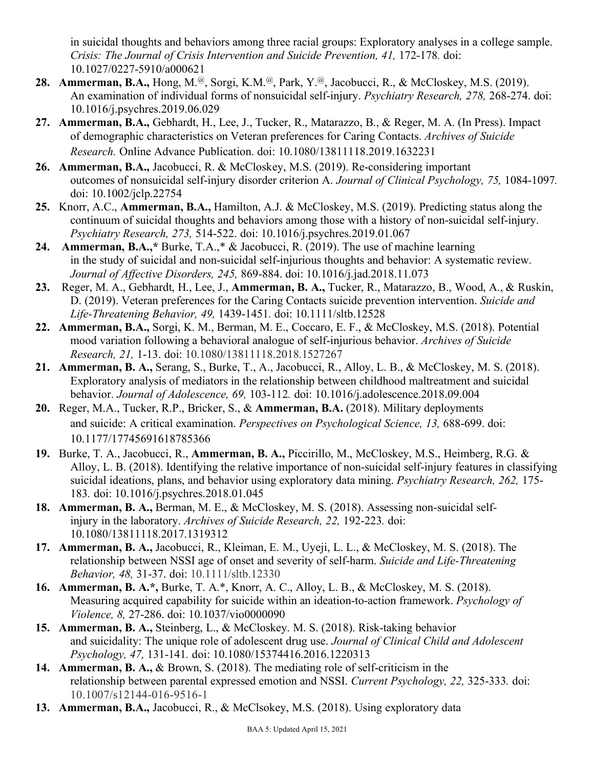in suicidal thoughts and behaviors among three racial groups: Exploratory analyses in a college sample. *Crisis: The Journal of Crisis Intervention and Suicide Prevention, 41, 172-178. doi:* 10.1027/0227-5910/a000621

- **28. Ammerman, B.A.,** Hong, M.@, Sorgi, K.M.@, Park, Y.@, Jacobucci, R., & McCloskey, M.S. (2019). An examination of individual forms of nonsuicidal self-injury. *Psychiatry Research, 278,* 268-274. doi: 10.1016/j.psychres.2019.06.029
- **27. Ammerman, B.A.,** Gebhardt, H., Lee, J., Tucker, R., Matarazzo, B., & Reger, M. A. (In Press). Impact of demographic characteristics on Veteran preferences for Caring Contacts. *Archives of Suicide Research.* Online Advance Publication. doi: 10.1080/13811118.2019.1632231
- **26. Ammerman, B.A.,** Jacobucci, R. & McCloskey, M.S. (2019). Re-considering important outcomes of nonsuicidal self-injury disorder criterion A. *Journal of Clinical Psychology, 75,* 1084-1097*.* doi: 10.1002/jclp.22754
- **25.** Knorr, A.C., **Ammerman, B.A.,** Hamilton, A.J. & McCloskey, M.S. (2019). Predicting status along the continuum of suicidal thoughts and behaviors among those with a history of non-suicidal self-injury. *Psychiatry Research, 273,* 514-522. doi: 10.1016/j.psychres.2019.01.067
- **24. Ammerman, B.A.,\*** Burke, T.A.,\* & Jacobucci, R. (2019). The use of machine learning in the study of suicidal and non-suicidal self-injurious thoughts and behavior: A systematic review. *Journal of Affective Disorders, 245,* 869-884. doi: 10.1016/j.jad.2018.11.073
- **23.** Reger, M. A., Gebhardt, H., Lee, J., **Ammerman, B. A.,** Tucker, R., Matarazzo, B., Wood, A., & Ruskin, D. (2019). Veteran preferences for the Caring Contacts suicide prevention intervention. *Suicide and Life-Threatening Behavior, 49,* 1439-1451*.* doi: 10.1111/sltb.12528
- **22. Ammerman, B.A.,** Sorgi, K. M., Berman, M. E., Coccaro, E. F., & McCloskey, M.S. (2018). Potential mood variation following a behavioral analogue of self-injurious behavior. *Archives of Suicide Research, 21,* 1-13. doi: 10.1080/13811118.2018.1527267
- **21. Ammerman, B. A.,** Serang, S., Burke, T., A., Jacobucci, R., Alloy, L. B., & McCloskey, M. S. (2018). Exploratory analysis of mediators in the relationship between childhood maltreatment and suicidal behavior. *Journal of Adolescence, 69,* 103-112*.* doi: 10.1016/j.adolescence.2018.09.004
- **20.** Reger, M.A., Tucker, R.P., Bricker, S., & **Ammerman, B.A.** (2018). Military deployments and suicide: A critical examination. *Perspectives on Psychological Science, 13,* 688-699. doi: 10.1177/17745691618785366
- **19.** Burke, T. A., Jacobucci, R., **Ammerman, B. A.,** Piccirillo, M., McCloskey, M.S., Heimberg, R.G. & Alloy, L. B. (2018). Identifying the relative importance of non-suicidal self-injury features in classifying suicidal ideations, plans, and behavior using exploratory data mining. *Psychiatry Research, 262,* 175- 183*.* doi: 10.1016/j.psychres.2018.01.045
- **18. Ammerman, B. A.,** Berman, M. E., & McCloskey, M. S. (2018). Assessing non-suicidal selfinjury in the laboratory. *Archives of Suicide Research, 22,* 192-223*.* doi: 10.1080/13811118.2017.1319312
- **17. Ammerman, B. A.,** Jacobucci, R., Kleiman, E. M., Uyeji, L. L., & McCloskey, M. S. (2018). The relationship between NSSI age of onset and severity of self-harm. *Suicide and Life-Threatening Behavior, 48,* 31-37. doi: 10.1111/sltb.12330
- **16. Ammerman, B. A.\*,** Burke, T. A.\*, Knorr, A. C., Alloy, L. B., & McCloskey, M. S. (2018). Measuring acquired capability for suicide within an ideation-to-action framework. *Psychology of Violence, 8,* 27-286. doi: 10.1037/vio0000090
- **15. Ammerman, B. A.,** Steinberg, L., & McCloskey. M. S. (2018). Risk-taking behavior and suicidality: The unique role of adolescent drug use. *Journal of Clinical Child and Adolescent Psychology, 47,* 131-141*.* doi: 10.1080/15374416.2016.1220313
- **14. Ammerman, B. A.,** & Brown, S. (2018). The mediating role of self-criticism in the relationship between parental expressed emotion and NSSI. *Current Psychology, 22,* 325-333*.* doi: 10.1007/s12144-016-9516-1
- **13. Ammerman, B.A.,** Jacobucci, R., & McClsokey, M.S. (2018). Using exploratory data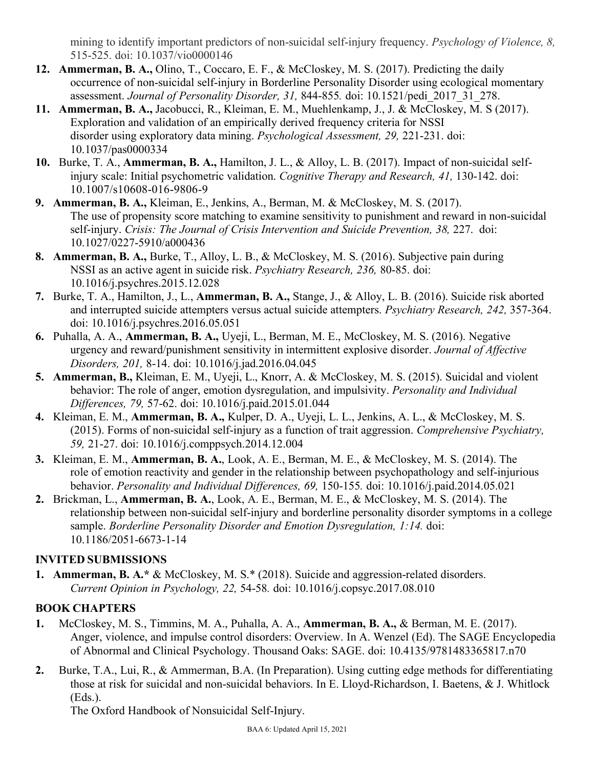mining to identify important predictors of non-suicidal self-injury frequency. *Psychology of Violence, 8,*  515-525. doi: 10.1037/vio0000146

- **12. Ammerman, B. A.,** Olino, T., Coccaro, E. F., & McCloskey, M. S. (2017). Predicting the daily occurrence of non-suicidal self-injury in Borderline Personality Disorder using ecological momentary assessment. *Journal of Personality Disorder, 31,* 844-855*.* doi: 10.1521/pedi\_2017\_31\_278.
- **11. Ammerman, B. A.,** Jacobucci, R., Kleiman, E. M., Muehlenkamp, J., J. & McCloskey, M. S (2017). Exploration and validation of an empirically derived frequency criteria for NSSI disorder using exploratory data mining. *Psychological Assessment, 29,* 221-231. doi: 10.1037/pas0000334
- **10.** Burke, T. A., **Ammerman, B. A.,** Hamilton, J. L., & Alloy, L. B. (2017). Impact of non-suicidal selfinjury scale: Initial psychometric validation. *Cognitive Therapy and Research, 41,* 130-142. doi: 10.1007/s10608-016-9806-9
- **9. Ammerman, B. A.,** Kleiman, E., Jenkins, A., Berman, M. & McCloskey, M. S. (2017). The use of propensity score matching to examine sensitivity to punishment and reward in non-suicidal self-injury. *Crisis: The Journal of Crisis Intervention and Suicide Prevention, 38, 227. doi:* 10.1027/0227-5910/a000436
- **8. Ammerman, B. A.,** Burke, T., Alloy, L. B., & McCloskey, M. S. (2016). Subjective pain during NSSI as an active agent in suicide risk. *Psychiatry Research, 236,* 80-85. doi: 10.1016/j.psychres.2015.12.028
- **7.** Burke, T. A., Hamilton, J., L., **Ammerman, B. A.,** Stange, J., & Alloy, L. B. (2016). Suicide risk aborted and interrupted suicide attempters versus actual suicide attempters. *Psychiatry Research, 242,* 357-364. doi: 10.1016/j.psychres.2016.05.051
- **6.** Puhalla, A. A., **Ammerman, B. A.,** Uyeji, L., Berman, M. E., McCloskey, M. S. (2016). Negative urgency and reward/punishment sensitivity in intermittent explosive disorder. *Journal of Affective Disorders, 201,* 8-14. doi: 10.1016/j.jad.2016.04.045
- **5. Ammerman, B.,** Kleiman, E. M., Uyeji, L., Knorr, A. & McCloskey, M. S. (2015). Suicidal and violent behavior: The role of anger, emotion dysregulation, and impulsivity. *Personality and Individual Differences, 79,* 57-62. doi: 10.1016/j.paid.2015.01.044
- **4.** Kleiman, E. M., **Ammerman, B. A.,** Kulper, D. A., Uyeji, L. L., Jenkins, A. L., & McCloskey, M. S. (2015). Forms of non-suicidal self-injury as a function of trait aggression. *Comprehensive Psychiatry, 59,* 21-27. doi: 10.1016/j.comppsych.2014.12.004
- **3.** Kleiman, E. M., **Ammerman, B. A.**, Look, A. E., Berman, M. E., & McCloskey, M. S. (2014). The role of emotion reactivity and gender in the relationship between psychopathology and self-injurious behavior. *Personality and Individual Differences, 69,* 150-155*.* doi: 10.1016/j.paid.2014.05.021
- **2.** Brickman, L., **Ammerman, B. A.**, Look, A. E., Berman, M. E., & McCloskey, M. S. (2014). The relationship between non-suicidal self-injury and borderline personality disorder symptoms in a college sample. *Borderline Personality Disorder and Emotion Dysregulation, 1:14.* doi: 10.1186/2051-6673-1-14

## **INVITED SUBMISSIONS**

**1. Ammerman, B. A.\*** & McCloskey, M. S.\* (2018). Suicide and aggression-related disorders. *Current Opinion in Psychology, 22,* 54-58*.* doi: 10.1016/j.copsyc.2017.08.010

## **BOOK CHAPTERS**

- **1.** McCloskey, M. S., Timmins, M. A., Puhalla, A. A., **Ammerman, B. A.,** & Berman, M. E. (2017). Anger, violence, and impulse control disorders: Overview. In A. Wenzel (Ed). The SAGE Encyclopedia of Abnormal and Clinical Psychology. Thousand Oaks: SAGE. doi: 10.4135/9781483365817.n70
- **2.** Burke, T.A., Lui, R., & Ammerman, B.A. (In Preparation). Using cutting edge methods for differentiating those at risk for suicidal and non-suicidal behaviors. In E. Lloyd-Richardson, I. Baetens, & J. Whitlock (Eds.).

The Oxford Handbook of Nonsuicidal Self-Injury.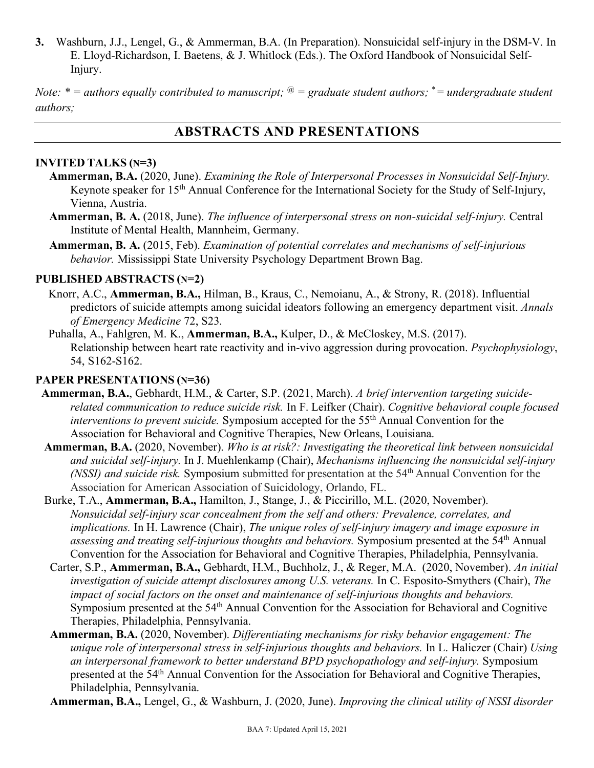**3.** Washburn, J.J., Lengel, G., & Ammerman, B.A. (In Preparation). Nonsuicidal self-injury in the DSM-V. In E. Lloyd-Richardson, I. Baetens, & J. Whitlock (Eds.). The Oxford Handbook of Nonsuicidal Self-Injury.

*Note:*  $* =$  *authors equally contributed to manuscript;*  $\mathcal{Q} =$  graduate student authors;  $* =$  *undergraduate student authors;*

# **ABSTRACTS AND PRESENTATIONS**

#### **INVITED TALKS (N=3)**

- **Ammerman, B.A.** (2020, June). *Examining the Role of Interpersonal Processes in Nonsuicidal Self-Injury.* Keynote speaker for 15th Annual Conference for the International Society for the Study of Self-Injury, Vienna, Austria.
- **Ammerman, B. A.** (2018, June). *The influence of interpersonal stress on non-suicidal self-injury.* Central Institute of Mental Health, Mannheim, Germany.
- **Ammerman, B. A.** (2015, Feb). *Examination of potential correlates and mechanisms of self-injurious behavior.* Mississippi State University Psychology Department Brown Bag.

#### **PUBLISHED ABSTRACTS (N=2)**

- Knorr, A.C., **Ammerman, B.A.,** Hilman, B., Kraus, C., Nemoianu, A., & Strony, R. (2018). Influential predictors of suicide attempts among suicidal ideators following an emergency department visit. *Annals of Emergency Medicine* 72, S23.
- Puhalla, A., Fahlgren, M. K., **Ammerman, B.A.,** Kulper, D., & McCloskey, M.S. (2017). Relationship between heart rate reactivity and in-vivo aggression during provocation. *Psychophysiology*, 54, S162-S162.

### **PAPER PRESENTATIONS (N=36)**

- **Ammerman, B.A.**, Gebhardt, H.M., & Carter, S.P. (2021, March). *A brief intervention targeting suiciderelated communication to reduce suicide risk.* In F. Leifker (Chair). *Cognitive behavioral couple focused interventions to prevent suicide.* Symposium accepted for the 55th Annual Convention for the Association for Behavioral and Cognitive Therapies, New Orleans, Louisiana.
- **Ammerman, B.A.** (2020, November). *Who is at risk?: Investigating the theoretical link between nonsuicidal and suicidal self-injury.* In J. Muehlenkamp (Chair), *Mechanisms influencing the nonsuicidal self-injury (NSSI) and suicide risk.* Symposium submitted for presentation at the 54th Annual Convention for the Association for American Association of Suicidology, Orlando, FL.
- Burke, T.A., **Ammerman, B.A.,** Hamilton, J., Stange, J., & Piccirillo, M.L. (2020, November). *Nonsuicidal self-injury scar concealment from the self and others: Prevalence, correlates, and implications.* In H. Lawrence (Chair), *The unique roles of self-injury imagery and image exposure in assessing and treating self-injurious thoughts and behaviors.* Symposium presented at the 54th Annual Convention for the Association for Behavioral and Cognitive Therapies, Philadelphia, Pennsylvania.
- Carter, S.P., **Ammerman, B.A.,** Gebhardt, H.M., Buchholz, J., & Reger, M.A. (2020, November). *An initial investigation of suicide attempt disclosures among U.S. veterans.* In C. Esposito-Smythers (Chair), *The impact of social factors on the onset and maintenance of self-injurious thoughts and behaviors.*  Symposium presented at the 54<sup>th</sup> Annual Convention for the Association for Behavioral and Cognitive Therapies, Philadelphia, Pennsylvania.
- **Ammerman, B.A.** (2020, November). *Differentiating mechanisms for risky behavior engagement: The unique role of interpersonal stress in self-injurious thoughts and behaviors.* In L. Haliczer (Chair) *Using an interpersonal framework to better understand BPD psychopathology and self-injury.* Symposium presented at the 54<sup>th</sup> Annual Convention for the Association for Behavioral and Cognitive Therapies, Philadelphia, Pennsylvania.

**Ammerman, B.A.,** Lengel, G., & Washburn, J. (2020, June). *Improving the clinical utility of NSSI disorder*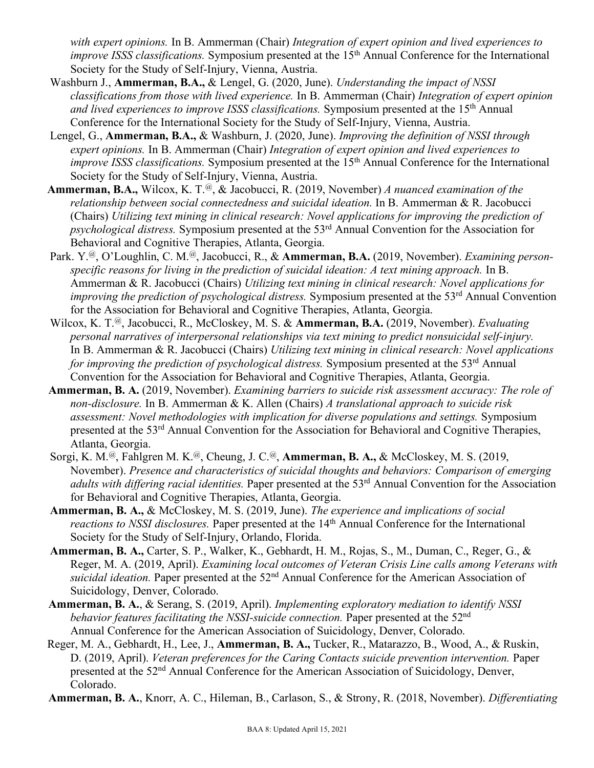*with expert opinions.* In B. Ammerman (Chair) *Integration of expert opinion and lived experiences to improve ISSS classifications.* Symposium presented at the 15<sup>th</sup> Annual Conference for the International Society for the Study of Self-Injury, Vienna, Austria.

- Washburn J., **Ammerman, B.A.,** & Lengel, G. (2020, June). *Understanding the impact of NSSI classifications from those with lived experience.* In B. Ammerman (Chair) *Integration of expert opinion and lived experiences to improve ISSS classifications.* Symposium presented at the 15th Annual Conference for the International Society for the Study of Self-Injury, Vienna, Austria.
- Lengel, G., **Ammerman, B.A.,** & Washburn, J. (2020, June). *Improving the definition of NSSI through expert opinions.* In B. Ammerman (Chair) *Integration of expert opinion and lived experiences to improve ISSS classifications.* Symposium presented at the 15<sup>th</sup> Annual Conference for the International Society for the Study of Self-Injury, Vienna, Austria.
- **Ammerman, B.A.,** Wilcox, K. T.@, & Jacobucci, R. (2019, November) *A nuanced examination of the relationship between social connectedness and suicidal ideation.* In B. Ammerman & R. Jacobucci (Chairs) *Utilizing text mining in clinical research: Novel applications for improving the prediction of psychological distress.* Symposium presented at the 53rd Annual Convention for the Association for Behavioral and Cognitive Therapies, Atlanta, Georgia.
- Park. Y.@, O'Loughlin, C. M.@, Jacobucci, R., & **Ammerman, B.A.** (2019, November). *Examining personspecific reasons for living in the prediction of suicidal ideation: A text mining approach.* In B. Ammerman & R. Jacobucci (Chairs) *Utilizing text mining in clinical research: Novel applications for improving the prediction of psychological distress.* Symposium presented at the 53<sup>rd</sup> Annual Convention for the Association for Behavioral and Cognitive Therapies, Atlanta, Georgia.
- Wilcox, K. T.@, Jacobucci, R., McCloskey, M. S. & **Ammerman, B.A.** (2019, November). *Evaluating personal narratives of interpersonal relationships via text mining to predict nonsuicidal self-injury.*  In B. Ammerman & R. Jacobucci (Chairs) *Utilizing text mining in clinical research: Novel applications for improving the prediction of psychological distress.* Symposium presented at the 53<sup>rd</sup> Annual Convention for the Association for Behavioral and Cognitive Therapies, Atlanta, Georgia.
- **Ammerman, B. A.** (2019, November). *Examining barriers to suicide risk assessment accuracy: The role of non-disclosure.* In B. Ammerman & K. Allen (Chairs) *A translational approach to suicide risk assessment: Novel methodologies with implication for diverse populations and settings.* Symposium presented at the 53rd Annual Convention for the Association for Behavioral and Cognitive Therapies, Atlanta, Georgia.
- Sorgi, K. M.@, Fahlgren M. K.@, Cheung, J. C.@, **Ammerman, B. A.,** & McCloskey, M. S. (2019, November). *Presence and characteristics of suicidal thoughts and behaviors: Comparison of emerging*  adults with differing racial identities. Paper presented at the 53<sup>rd</sup> Annual Convention for the Association for Behavioral and Cognitive Therapies, Atlanta, Georgia.
- **Ammerman, B. A.,** & McCloskey, M. S. (2019, June). *The experience and implications of social reactions to NSSI disclosures.* Paper presented at the 14<sup>th</sup> Annual Conference for the International Society for the Study of Self-Injury, Orlando, Florida.
- **Ammerman, B. A.,** Carter, S. P., Walker, K., Gebhardt, H. M., Rojas, S., M., Duman, C., Reger, G., & Reger, M. A. (2019, April). *Examining local outcomes of Veteran Crisis Line calls among Veterans with suicidal ideation.* Paper presented at the 52nd Annual Conference for the American Association of Suicidology, Denver, Colorado.
- **Ammerman, B. A.**, & Serang, S. (2019, April). *Implementing exploratory mediation to identify NSSI behavior features facilitating the NSSI-suicide connection.* Paper presented at the 52<sup>nd</sup> Annual Conference for the American Association of Suicidology, Denver, Colorado.
- Reger, M. A., Gebhardt, H., Lee, J., **Ammerman, B. A.,** Tucker, R., Matarazzo, B., Wood, A., & Ruskin, D. (2019, April). *Veteran preferences for the Caring Contacts suicide prevention intervention.* Paper presented at the 52nd Annual Conference for the American Association of Suicidology, Denver, Colorado.

**Ammerman, B. A.**, Knorr, A. C., Hileman, B., Carlason, S., & Strony, R. (2018, November). *Differentiating*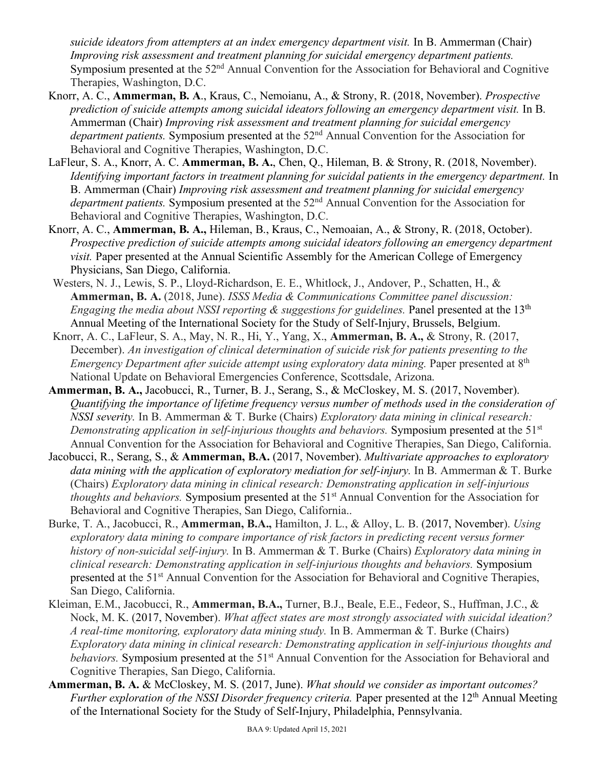*suicide ideators from attempters at an index emergency department visit.* In B. Ammerman (Chair) *Improving risk assessment and treatment planning for suicidal emergency department patients.*  Symposium presented at the 52<sup>nd</sup> Annual Convention for the Association for Behavioral and Cognitive Therapies, Washington, D.C.

- Knorr, A. C., **Ammerman, B. A**., Kraus, C., Nemoianu, A., & Strony, R. (2018, November). *Prospective prediction of suicide attempts among suicidal ideators following an emergency department visit.* In B. Ammerman (Chair) *Improving risk assessment and treatment planning for suicidal emergency department patients.* Symposium presented at the 52<sup>nd</sup> Annual Convention for the Association for Behavioral and Cognitive Therapies, Washington, D.C.
- LaFleur, S. A., Knorr, A. C. **Ammerman, B. A.**, Chen, Q., Hileman, B. & Strony, R. (2018, November). *Identifying important factors in treatment planning for suicidal patients in the emergency department.* In B. Ammerman (Chair) *Improving risk assessment and treatment planning for suicidal emergency department patients.* Symposium presented at the 52<sup>nd</sup> Annual Convention for the Association for Behavioral and Cognitive Therapies, Washington, D.C.
- Knorr, A. C., **Ammerman, B. A.,** Hileman, B., Kraus, C., Nemoaian, A., & Strony, R. (2018, October). *Prospective prediction of suicide attempts among suicidal ideators following an emergency department visit.* Paper presented at the Annual Scientific Assembly for the American College of Emergency Physicians, San Diego, California.
- Westers, N. J., Lewis, S. P., Lloyd-Richardson, E. E., Whitlock, J., Andover, P., Schatten, H., & **Ammerman, B. A.** (2018, June). *ISSS Media & Communications Committee panel discussion: Engaging the media about NSSI reporting & suggestions for guidelines.* Panel presented at the 13<sup>th</sup> Annual Meeting of the International Society for the Study of Self-Injury, Brussels, Belgium.
- Knorr, A. C., LaFleur, S. A., May, N. R., Hi, Y., Yang, X., **Ammerman, B. A.,** & Strony, R. (2017, December). *An investigation of clinical determination of suicide risk for patients presenting to the Emergency Department after suicide attempt using exploratory data mining.* Paper presented at 8<sup>th</sup> National Update on Behavioral Emergencies Conference, Scottsdale, Arizona.
- **Ammerman, B. A.,** Jacobucci, R., Turner, B. J., Serang, S., & McCloskey, M. S. (2017, November). *Quantifying the importance of lifetime frequency versus number of methods used in the consideration of NSSI severity.* In B. Ammerman & T. Burke (Chairs) *Exploratory data mining in clinical research: Demonstrating application in self-injurious thoughts and behaviors.* Symposium presented at the 51<sup>st</sup> Annual Convention for the Association for Behavioral and Cognitive Therapies, San Diego, California.
- Jacobucci, R., Serang, S., & **Ammerman, B.A.** (2017, November). *Multivariate approaches to exploratory data mining with the application of exploratory mediation for self-injury.* In B. Ammerman & T. Burke (Chairs) *Exploratory data mining in clinical research: Demonstrating application in self-injurious thoughts and behaviors.* Symposium presented at the 51<sup>st</sup> Annual Convention for the Association for Behavioral and Cognitive Therapies, San Diego, California..
- Burke, T. A., Jacobucci, R., **Ammerman, B.A.,** Hamilton, J. L., & Alloy, L. B. (2017, November). *Using exploratory data mining to compare importance of risk factors in predicting recent versus former history of non-suicidal self-injury.* In B. Ammerman & T. Burke (Chairs) *Exploratory data mining in clinical research: Demonstrating application in self-injurious thoughts and behaviors.* Symposium presented at the 51st Annual Convention for the Association for Behavioral and Cognitive Therapies, San Diego, California.
- Kleiman, E.M., Jacobucci, R., **Ammerman, B.A.,** Turner, B.J., Beale, E.E., Fedeor, S., Huffman, J.C., & Nock, M. K. (2017, November). *What affect states are most strongly associated with suicidal ideation? A real-time monitoring, exploratory data mining study.* In B. Ammerman & T. Burke (Chairs) *Exploratory data mining in clinical research: Demonstrating application in self-injurious thoughts and behaviors.* Symposium presented at the 51<sup>st</sup> Annual Convention for the Association for Behavioral and Cognitive Therapies, San Diego, California.
- **Ammerman, B. A.** & McCloskey, M. S. (2017, June). *What should we consider as important outcomes? Further exploration of the NSSI Disorder frequency criteria.* Paper presented at the 12<sup>th</sup> Annual Meeting of the International Society for the Study of Self-Injury, Philadelphia, Pennsylvania.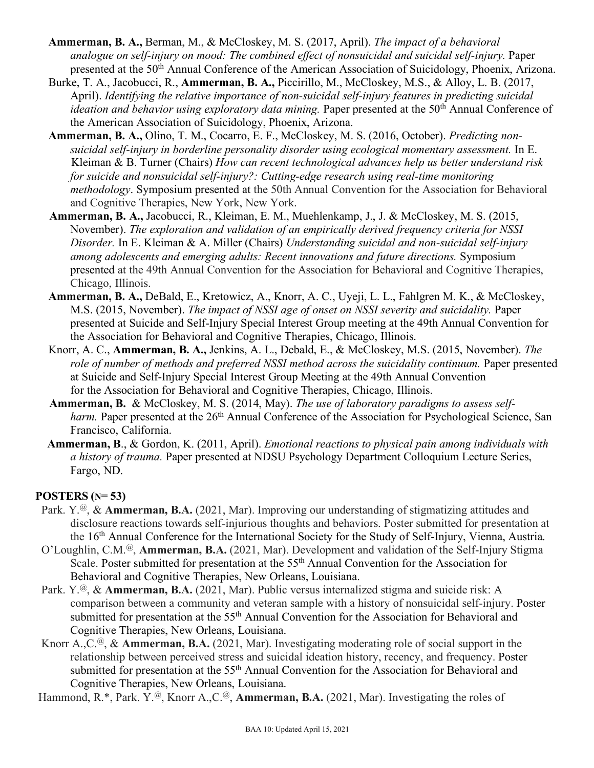- **Ammerman, B. A.,** Berman, M., & McCloskey, M. S. (2017, April). *The impact of a behavioral analogue on self-injury on mood: The combined effect of nonsuicidal and suicidal self-injury.* Paper presented at the 50<sup>th</sup> Annual Conference of the American Association of Suicidology, Phoenix, Arizona.
- Burke, T. A., Jacobucci, R., **Ammerman, B. A.,** Piccirillo, M., McCloskey, M.S., & Alloy, L. B. (2017, April). *Identifying the relative importance of non-suicidal self-injury features in predicting suicidal ideation and behavior using exploratory data mining.* Paper presented at the 50<sup>th</sup> Annual Conference of the American Association of Suicidology, Phoenix, Arizona.
- **Ammerman, B. A.,** Olino, T. M., Cocarro, E. F., McCloskey, M. S. (2016, October). *Predicting nonsuicidal self-injury in borderline personality disorder using ecological momentary assessment.* In E. Kleiman & B. Turner (Chairs) *How can recent technological advances help us better understand risk for suicide and nonsuicidal self-injury?: Cutting-edge research using real-time monitoring methodology*. Symposium presented at the 50th Annual Convention for the Association for Behavioral and Cognitive Therapies, New York, New York.
- **Ammerman, B. A.,** Jacobucci, R., Kleiman, E. M., Muehlenkamp, J., J. & McCloskey, M. S. (2015, November). *The exploration and validation of an empirically derived frequency criteria for NSSI Disorder.* In E. Kleiman & A. Miller (Chairs) *Understanding suicidal and non-suicidal self-injury among adolescents and emerging adults: Recent innovations and future directions.* Symposium presented at the 49th Annual Convention for the Association for Behavioral and Cognitive Therapies, Chicago, Illinois.
- **Ammerman, B. A.,** DeBald, E., Kretowicz, A., Knorr, A. C., Uyeji, L. L., Fahlgren M. K., & McCloskey, M.S. (2015, November). *The impact of NSSI age of onset on NSSI severity and suicidality.* Paper presented at Suicide and Self-Injury Special Interest Group meeting at the 49th Annual Convention for the Association for Behavioral and Cognitive Therapies, Chicago, Illinois.
- Knorr, A. C., **Ammerman, B. A.,** Jenkins, A. L., Debald, E., & McCloskey, M.S. (2015, November). *The*  role of number of methods and preferred NSSI method across the suicidality continuum. Paper presented at Suicide and Self-Injury Special Interest Group Meeting at the 49th Annual Convention for the Association for Behavioral and Cognitive Therapies, Chicago, Illinois.
- **Ammerman, B.** & McCloskey, M. S. (2014, May). *The use of laboratory paradigms to assess selfharm.* Paper presented at the 26<sup>th</sup> Annual Conference of the Association for Psychological Science, San Francisco, California.
- **Ammerman, B**., & Gordon, K. (2011, April). *Emotional reactions to physical pain among individuals with a history of trauma.* Paper presented at NDSU Psychology Department Colloquium Lecture Series, Fargo, ND.

### **POSTERS (N= 53)**

- Park. Y.@, & **Ammerman, B.A.** (2021, Mar). Improving our understanding of stigmatizing attitudes and disclosure reactions towards self-injurious thoughts and behaviors. Poster submitted for presentation at the 16th Annual Conference for the International Society for the Study of Self-Injury, Vienna, Austria.
- O'Loughlin, C.M.@, **Ammerman, B.A.** (2021, Mar). Development and validation of the Self-Injury Stigma Scale. Poster submitted for presentation at the 55<sup>th</sup> Annual Convention for the Association for Behavioral and Cognitive Therapies, New Orleans, Louisiana.
- Park. Y.<sup>@</sup>, & **Ammerman, B.A.** (2021, Mar). Public versus internalized stigma and suicide risk: A comparison between a community and veteran sample with a history of nonsuicidal self-injury. Poster submitted for presentation at the 55<sup>th</sup> Annual Convention for the Association for Behavioral and Cognitive Therapies, New Orleans, Louisiana.
- Knorr A.,C.@, & **Ammerman, B.A.** (2021, Mar). Investigating moderating role of social support in the relationship between perceived stress and suicidal ideation history, recency, and frequency. Poster submitted for presentation at the 55<sup>th</sup> Annual Convention for the Association for Behavioral and Cognitive Therapies, New Orleans, Louisiana.

Hammond, R.\*, Park. Y.@, Knorr A.,C.@, **Ammerman, B.A.** (2021, Mar). Investigating the roles of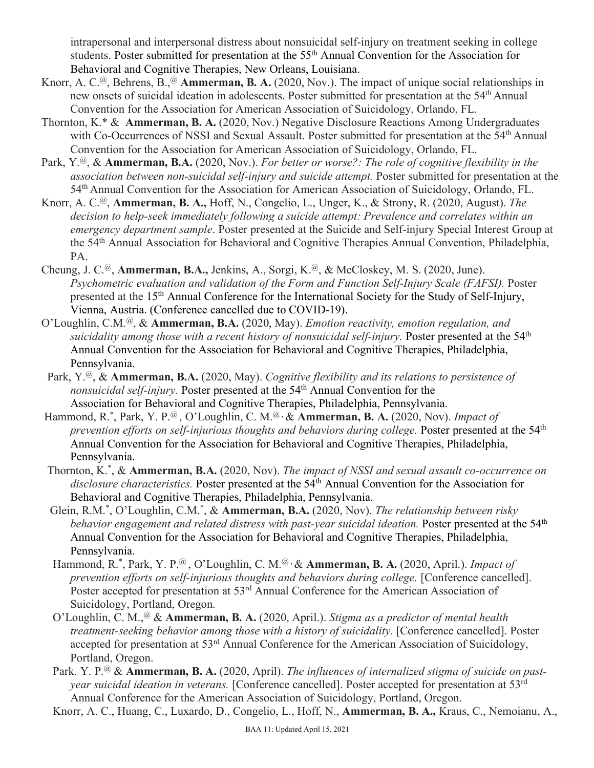intrapersonal and interpersonal distress about nonsuicidal self-injury on treatment seeking in college students. Poster submitted for presentation at the 55th Annual Convention for the Association for Behavioral and Cognitive Therapies, New Orleans, Louisiana.

- Knorr, A. C.<sup>@</sup>, Behrens, B.,<sup>@</sup> Ammerman, B. A. (2020, Nov.). The impact of unique social relationships in new onsets of suicidal ideation in adolescents. Poster submitted for presentation at the 54th Annual Convention for the Association for American Association of Suicidology, Orlando, FL.
- Thornton, K.\* & **Ammerman, B. A.** (2020, Nov.) Negative Disclosure Reactions Among Undergraduates with Co-Occurrences of NSSI and Sexual Assault. Poster submitted for presentation at the 54<sup>th</sup> Annual Convention for the Association for American Association of Suicidology, Orlando, FL.
- Park, Y.@, & **Ammerman, B.A.** (2020, Nov.). *For better or worse?: The role of cognitive flexibility in the association between non-suicidal self-injury and suicide attempt.* Poster submitted for presentation at the 54th Annual Convention for the Association for American Association of Suicidology, Orlando, FL.
- Knorr, A. C.@, **Ammerman, B. A.,** Hoff, N., Congelio, L., Unger, K., & Strony, R. (2020, August). *The decision to help-seek immediately following a suicide attempt: Prevalence and correlates within an emergency department sample*. Poster presented at the Suicide and Self-injury Special Interest Group at the 54th Annual Association for Behavioral and Cognitive Therapies Annual Convention, Philadelphia, PA.
- Cheung, J. C.@, **Ammerman, B.A.,** Jenkins, A., Sorgi, K.@, & McCloskey, M. S. (2020, June). *Psychometric evaluation and validation of the Form and Function Self-Injury Scale (FAFSI).* Poster presented at the 15<sup>th</sup> Annual Conference for the International Society for the Study of Self-Injury, Vienna, Austria. (Conference cancelled due to COVID-19).
- O'Loughlin, C.M.@, & **Ammerman, B.A.** (2020, May). *Emotion reactivity, emotion regulation, and suicidality among those with a recent history of nonsuicidal self-injury.* Poster presented at the 54<sup>th</sup> Annual Convention for the Association for Behavioral and Cognitive Therapies, Philadelphia, Pennsylvania.
- Park, Y.@, & **Ammerman, B.A.** (2020, May). *Cognitive flexibility and its relations to persistence of nonsuicidal self-injury.* Poster presented at the 54<sup>th</sup> Annual Convention for the Association for Behavioral and Cognitive Therapies, Philadelphia, Pennsylvania.
- Hammond, R.<sup>\*</sup>, Park, Y. P.<sup>@</sup>, O'Loughlin, C. M.<sup>@</sup>, & **Ammerman, B. A.** (2020, Nov). *Impact of prevention efforts on self-injurious thoughts and behaviors during college.* Poster presented at the 54<sup>th</sup> Annual Convention for the Association for Behavioral and Cognitive Therapies, Philadelphia, Pennsylvania.
- Thornton, K.\* , & **Ammerman, B.A.** (2020, Nov). *The impact of NSSI and sexual assault co-occurrence on* disclosure characteristics. Poster presented at the 54<sup>th</sup> Annual Convention for the Association for Behavioral and Cognitive Therapies, Philadelphia, Pennsylvania.
- Glein, R.M.<sup>\*</sup>, O'Loughlin, C.M.<sup>\*</sup>, & **Ammerman, B.A.** (2020, Nov). *The relationship between risky* behavior engagement and related distress with past-year suicidal ideation. Poster presented at the 54<sup>th</sup> Annual Convention for the Association for Behavioral and Cognitive Therapies, Philadelphia, Pennsylvania.
	- Hammond, R.<sup>\*</sup>, Park, Y. P.<sup>@</sup>, O'Loughlin, C. M.<sup>@,</sup> & **Ammerman, B. A.** (2020, April.). *Impact of prevention efforts on self-injurious thoughts and behaviors during college.* [Conference cancelled]. Poster accepted for presentation at 53<sup>rd</sup> Annual Conference for the American Association of Suicidology, Portland, Oregon.
	- O'Loughlin, C. M.,@ & **Ammerman, B. A.** (2020, April.). *Stigma as a predictor of mental health treatment-seeking behavior among those with a history of suicidality.* [Conference cancelled]. Poster accepted for presentation at 53rd Annual Conference for the American Association of Suicidology, Portland, Oregon.
	- Park. Y. P.@ & **Ammerman, B. A.** (2020, April). *The influences of internalized stigma of suicide on pastyear suicidal ideation in veterans.* [Conference cancelled]. Poster accepted for presentation at 53rd Annual Conference for the American Association of Suicidology, Portland, Oregon.
	- Knorr, A. C., Huang, C., Luxardo, D., Congelio, L., Hoff, N., **Ammerman, B. A.,** Kraus, C., Nemoianu, A.,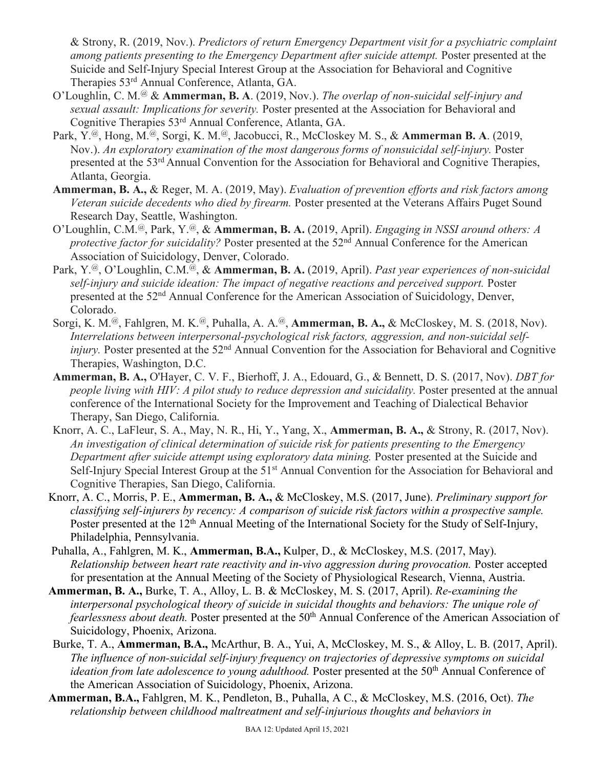& Strony, R. (2019, Nov.). *Predictors of return Emergency Department visit for a psychiatric complaint among patients presenting to the Emergency Department after suicide attempt.* Poster presented at the Suicide and Self-Injury Special Interest Group at the Association for Behavioral and Cognitive Therapies 53rd Annual Conference, Atlanta, GA.

- O'Loughlin, C. M.@ & **Ammerman, B. A**. (2019, Nov.). *The overlap of non-suicidal self-injury and sexual assault: Implications for severity.* Poster presented at the Association for Behavioral and Cognitive Therapies 53rd Annual Conference, Atlanta, GA.
- Park, Y.@, Hong, M.@, Sorgi, K. M.@, Jacobucci, R., McCloskey M. S., & **Ammerman B. A**. (2019, Nov.). *An exploratory examination of the most dangerous forms of nonsuicidal self-injury.* Poster presented at the 53rd Annual Convention for the Association for Behavioral and Cognitive Therapies, Atlanta, Georgia.
- **Ammerman, B. A.,** & Reger, M. A. (2019, May). *Evaluation of prevention efforts and risk factors among Veteran suicide decedents who died by firearm.* Poster presented at the Veterans Affairs Puget Sound Research Day, Seattle, Washington.
- O'Loughlin, C.M.@, Park, Y.@, & **Ammerman, B. A.** (2019, April). *Engaging in NSSI around others: A protective factor for suicidality?* Poster presented at the 52<sup>nd</sup> Annual Conference for the American Association of Suicidology, Denver, Colorado.
- Park, Y.@, O'Loughlin, C.M.@, & **Ammerman, B. A.** (2019, April). *Past year experiences of non-suicidal*  self-injury and suicide ideation: The impact of negative reactions and perceived support. Poster presented at the 52nd Annual Conference for the American Association of Suicidology, Denver, Colorado.
- Sorgi, K. M.@, Fahlgren, M. K.@, Puhalla, A. A.@, **Ammerman, B. A.,** & McCloskey, M. S. (2018, Nov). *Interrelations between interpersonal-psychological risk factors, aggression, and non-suicidal selfinjury.* Poster presented at the 52<sup>nd</sup> Annual Convention for the Association for Behavioral and Cognitive Therapies, Washington, D.C.
- **Ammerman, B. A.,** O'Hayer, C. V. F., Bierhoff, J. A., Edouard, G., & Bennett, D. S. (2017, Nov). *DBT for people living with HIV: A pilot study to reduce depression and suicidality.* Poster presented at the annual conference of the International Society for the Improvement and Teaching of Dialectical Behavior Therapy, San Diego, California.
- Knorr, A. C., LaFleur, S. A., May, N. R., Hi, Y., Yang, X., **Ammerman, B. A.,** & Strony, R. (2017, Nov). *An investigation of clinical determination of suicide risk for patients presenting to the Emergency Department after suicide attempt using exploratory data mining.* Poster presented at the Suicide and Self-Injury Special Interest Group at the 51<sup>st</sup> Annual Convention for the Association for Behavioral and Cognitive Therapies, San Diego, California.
- Knorr, A. C., Morris, P. E., **Ammerman, B. A.,** & McCloskey, M.S. (2017, June). *Preliminary support for classifying self-injurers by recency: A comparison of suicide risk factors within a prospective sample.* Poster presented at the 12<sup>th</sup> Annual Meeting of the International Society for the Study of Self-Injury, Philadelphia, Pennsylvania.
- Puhalla, A., Fahlgren, M. K., **Ammerman, B.A.,** Kulper, D., & McCloskey, M.S. (2017, May). *Relationship between heart rate reactivity and in-vivo aggression during provocation.* Poster accepted for presentation at the Annual Meeting of the Society of Physiological Research, Vienna, Austria.
- **Ammerman, B. A.,** Burke, T. A., Alloy, L. B. & McCloskey, M. S. (2017, April). *Re-examining the interpersonal psychological theory of suicide in suicidal thoughts and behaviors: The unique role of fearlessness about death.* Poster presented at the 50<sup>th</sup> Annual Conference of the American Association of Suicidology, Phoenix, Arizona.
- Burke, T. A., **Ammerman, B.A.,** McArthur, B. A., Yui, A, McCloskey, M. S., & Alloy, L. B. (2017, April). *The influence of non-suicidal self-injury frequency on trajectories of depressive symptoms on suicidal ideation from late adolescence to young adulthood.* Poster presented at the 50<sup>th</sup> Annual Conference of the American Association of Suicidology, Phoenix, Arizona.
- **Ammerman, B.A.,** Fahlgren, M. K., Pendleton, B., Puhalla, A C., & McCloskey, M.S. (2016, Oct). *The relationship between childhood maltreatment and self-injurious thoughts and behaviors in*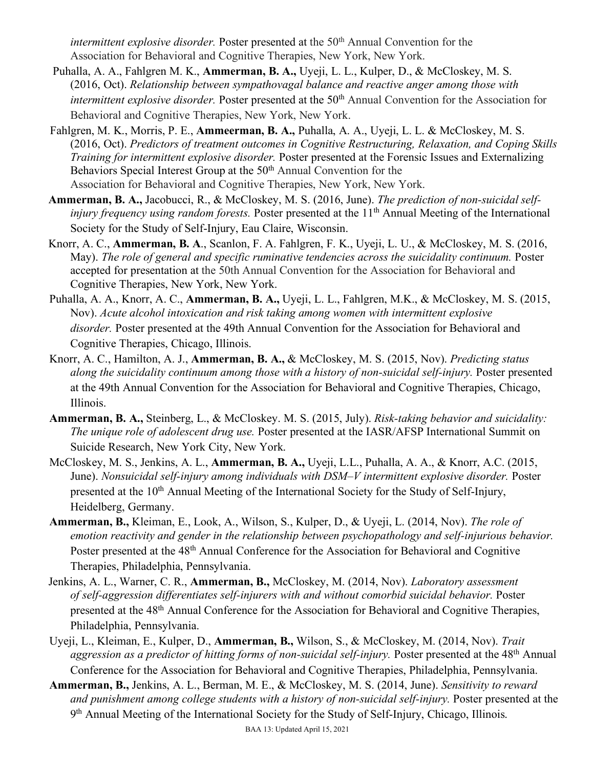*intermittent explosive disorder.* Poster presented at the 50<sup>th</sup> Annual Convention for the Association for Behavioral and Cognitive Therapies, New York, New York.

- Puhalla, A. A., Fahlgren M. K., **Ammerman, B. A.,** Uyeji, L. L., Kulper, D., & McCloskey, M. S. (2016, Oct). *Relationship between sympathovagal balance and reactive anger among those with intermittent explosive disorder.* Poster presented at the 50<sup>th</sup> Annual Convention for the Association for Behavioral and Cognitive Therapies, New York, New York.
- Fahlgren, M. K., Morris, P. E., **Ammeerman, B. A.,** Puhalla, A. A., Uyeji, L. L. & McCloskey, M. S. (2016, Oct). *Predictors of treatment outcomes in Cognitive Restructuring, Relaxation, and Coping Skills Training for intermittent explosive disorder.* Poster presented at the Forensic Issues and Externalizing Behaviors Special Interest Group at the 50<sup>th</sup> Annual Convention for the Association for Behavioral and Cognitive Therapies, New York, New York.
- **Ammerman, B. A.,** Jacobucci, R., & McCloskey, M. S. (2016, June). *The prediction of non-suicidal selfinjury frequency using random forests.* Poster presented at the 11<sup>th</sup> Annual Meeting of the International Society for the Study of Self-Injury, Eau Claire, Wisconsin.
- Knorr, A. C., **Ammerman, B. A**., Scanlon, F. A. Fahlgren, F. K., Uyeji, L. U., & McCloskey, M. S. (2016, May). *The role of general and specific ruminative tendencies across the suicidality continuum.* Poster accepted for presentation at the 50th Annual Convention for the Association for Behavioral and Cognitive Therapies, New York, New York.
- Puhalla, A. A., Knorr, A. C., **Ammerman, B. A.,** Uyeji, L. L., Fahlgren, M.K., & McCloskey, M. S. (2015, Nov). *Acute alcohol intoxication and risk taking among women with intermittent explosive disorder.* Poster presented at the 49th Annual Convention for the Association for Behavioral and Cognitive Therapies, Chicago, Illinois.
- Knorr, A. C., Hamilton, A. J., **Ammerman, B. A.,** & McCloskey, M. S. (2015, Nov). *Predicting status along the suicidality continuum among those with a history of non-suicidal self-injury.* Poster presented at the 49th Annual Convention for the Association for Behavioral and Cognitive Therapies, Chicago, Illinois.
- **Ammerman, B. A.,** Steinberg, L., & McCloskey. M. S. (2015, July). *Risk-taking behavior and suicidality: The unique role of adolescent drug use.* Poster presented at the IASR/AFSP International Summit on Suicide Research, New York City, New York.
- McCloskey, M. S., Jenkins, A. L., **Ammerman, B. A.,** Uyeji, L.L., Puhalla, A. A., & Knorr, A.C. (2015, June). *Nonsuicidal self-injury among individuals with DSM-V intermittent explosive disorder*. Poster presented at the 10<sup>th</sup> Annual Meeting of the International Society for the Study of Self-Injury, Heidelberg, Germany.
- **Ammerman, B.,** Kleiman, E., Look, A., Wilson, S., Kulper, D., & Uyeji, L. (2014, Nov). *The role of emotion reactivity and gender in the relationship between psychopathology and self-injurious behavior.* Poster presented at the 48<sup>th</sup> Annual Conference for the Association for Behavioral and Cognitive Therapies, Philadelphia, Pennsylvania.
- Jenkins, A. L., Warner, C. R., **Ammerman, B.,** McCloskey, M. (2014, Nov). *Laboratory assessment of self-aggression differentiates self-injurers with and without comorbid suicidal behavior.* Poster presented at the 48th Annual Conference for the Association for Behavioral and Cognitive Therapies, Philadelphia, Pennsylvania.
- Uyeji, L., Kleiman, E., Kulper, D., **Ammerman, B.,** Wilson, S., & McCloskey, M. (2014, Nov). *Trait*  aggression as a predictor of hitting forms of non-suicidal self-injury. Poster presented at the 48<sup>th</sup> Annual Conference for the Association for Behavioral and Cognitive Therapies, Philadelphia, Pennsylvania.
- **Ammerman, B.,** Jenkins, A. L., Berman, M. E., & McCloskey, M. S. (2014, June). *Sensitivity to reward*  and punishment among college students with a history of non-suicidal self-injury. Poster presented at the 9th Annual Meeting of the International Society for the Study of Self-Injury, Chicago, Illinois.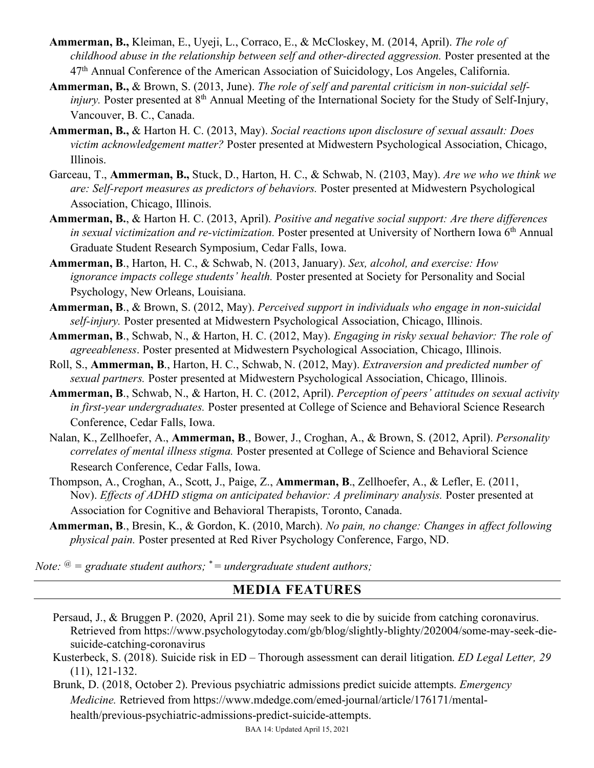- **Ammerman, B.,** Kleiman, E., Uyeji, L., Corraco, E., & McCloskey, M. (2014, April). *The role of childhood abuse in the relationship between self and other-directed aggression.* Poster presented at the 47th Annual Conference of the American Association of Suicidology, Los Angeles, California.
- **Ammerman, B.,** & Brown, S. (2013, June). *The role of self and parental criticism in non-suicidal selfinjury.* Poster presented at 8<sup>th</sup> Annual Meeting of the International Society for the Study of Self-Injury, Vancouver, B. C., Canada.
- **Ammerman, B.,** & Harton H. C. (2013, May). *Social reactions upon disclosure of sexual assault: Does victim acknowledgement matter?* Poster presented at Midwestern Psychological Association, Chicago, Illinois.
- Garceau, T., **Ammerman, B.,** Stuck, D., Harton, H. C., & Schwab, N. (2103, May). *Are we who we think we are: Self-report measures as predictors of behaviors.* Poster presented at Midwestern Psychological Association, Chicago, Illinois.
- **Ammerman, B.**, & Harton H. C. (2013, April). *Positive and negative social support: Are there differences in sexual victimization and re-victimization.* Poster presented at University of Northern Iowa 6th Annual Graduate Student Research Symposium, Cedar Falls, Iowa.
- **Ammerman, B**., Harton, H. C., & Schwab, N. (2013, January). *Sex, alcohol, and exercise: How ignorance impacts college students' health.* Poster presented at Society for Personality and Social Psychology, New Orleans, Louisiana.
- **Ammerman, B**., & Brown, S. (2012, May). *Perceived support in individuals who engage in non-suicidal self-injury.* Poster presented at Midwestern Psychological Association, Chicago, Illinois.
- **Ammerman, B**., Schwab, N., & Harton, H. C. (2012, May). *Engaging in risky sexual behavior: The role of agreeableness*. Poster presented at Midwestern Psychological Association, Chicago, Illinois.
- Roll, S., **Ammerman, B**., Harton, H. C., Schwab, N. (2012, May). *Extraversion and predicted number of sexual partners.* Poster presented at Midwestern Psychological Association, Chicago, Illinois.
- **Ammerman, B**., Schwab, N., & Harton, H. C. (2012, April). *Perception of peers' attitudes on sexual activity in first-year undergraduates.* Poster presented at College of Science and Behavioral Science Research Conference, Cedar Falls, Iowa.
- Nalan, K., Zellhoefer, A., **Ammerman, B**., Bower, J., Croghan, A., & Brown, S. (2012, April). *Personality correlates of mental illness stigma.* Poster presented at College of Science and Behavioral Science Research Conference, Cedar Falls, Iowa.
- Thompson, A., Croghan, A., Scott, J., Paige, Z., **Ammerman, B**., Zellhoefer, A., & Lefler, E. (2011, Nov). *Effects of ADHD stigma on anticipated behavior: A preliminary analysis.* Poster presented at Association for Cognitive and Behavioral Therapists, Toronto, Canada.
- **Ammerman, B**., Bresin, K., & Gordon, K. (2010, March). *No pain, no change: Changes in affect following physical pain.* Poster presented at Red River Psychology Conference, Fargo, ND.

*Note: @ = graduate student authors;* \* = *undergraduate student authors;* 

### **MEDIA FEATURES**

- Persaud, J., & Bruggen P. (2020, April 21). Some may seek to die by suicide from catching coronavirus. Retrieved from https://www.psychologytoday.com/gb/blog/slightly-blighty/202004/some-may-seek-diesuicide-catching-coronavirus
- Kusterbeck, S. (2018). Suicide risk in ED Thorough assessment can derail litigation. *ED Legal Letter, 29*  (11), 121-132.

 Brunk, D. (2018, October 2). Previous psychiatric admissions predict suicide attempts. *Emergency Medicine.* Retrieved from https://www.mdedge.com/emed-journal/article/176171/mentalhealth/previous-psychiatric-admissions-predict-suicide-attempts.

BAA 14: Updated April 15, 2021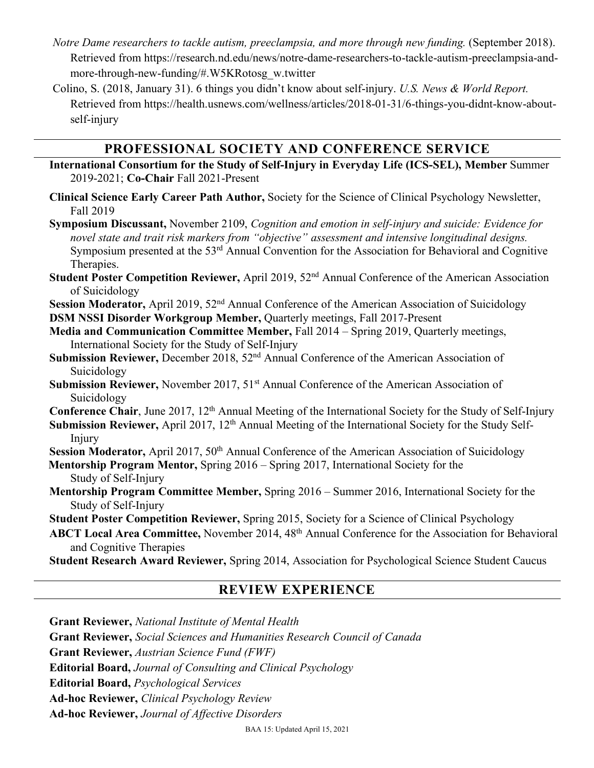- *Notre Dame researchers to tackle autism, preeclampsia, and more through new funding.* (September 2018). Retrieved from https://research.nd.edu/news/notre-dame-researchers-to-tackle-autism-preeclampsia-andmore-through-new-funding/#.W5KRotosg\_w.twitter
- Colino, S. (2018, January 31). 6 things you didn't know about self-injury. *U.S. News & World Report.*  Retrieved from https://health.usnews.com/wellness/articles/2018-01-31/6-things-you-didnt-know-aboutself-injury

## **PROFESSIONAL SOCIETY AND CONFERENCE SERVICE**

- **International Consortium for the Study of Self-Injury in Everyday Life (ICS-SEL), Member** Summer 2019-2021; **Co-Chair** Fall 2021-Present
- **Clinical Science Early Career Path Author,** Society for the Science of Clinical Psychology Newsletter, Fall 2019

**Symposium Discussant,** November 2109, *Cognition and emotion in self-injury and suicide: Evidence for novel state and trait risk markers from "objective" assessment and intensive longitudinal designs.*  Symposium presented at the 53<sup>rd</sup> Annual Convention for the Association for Behavioral and Cognitive Therapies.

**Student Poster Competition Reviewer,** April 2019, 52nd Annual Conference of the American Association of Suicidology

**Session Moderator,** April 2019, 52<sup>nd</sup> Annual Conference of the American Association of Suicidology **DSM NSSI Disorder Workgroup Member,** Quarterly meetings, Fall 2017-Present

- **Media and Communication Committee Member,** Fall 2014 Spring 2019, Quarterly meetings, International Society for the Study of Self-Injury
- Submission Reviewer, December 2018, 52<sup>nd</sup> Annual Conference of the American Association of Suicidology
- **Submission Reviewer,** November 2017, 51<sup>st</sup> Annual Conference of the American Association of Suicidology

**Conference Chair**, June 2017, 12<sup>th</sup> Annual Meeting of the International Society for the Study of Self-Injury

**Submission Reviewer, April 2017, 12<sup>th</sup> Annual Meeting of the International Society for the Study Self-**Injury

**Session Moderator,** April 2017, 50<sup>th</sup> Annual Conference of the American Association of Suicidology

- **Mentorship Program Mentor,** Spring 2016 Spring 2017, International Society for the Study of Self-Injury
- **Mentorship Program Committee Member,** Spring 2016 Summer 2016, International Society for the Study of Self-Injury

**Student Poster Competition Reviewer,** Spring 2015, Society for a Science of Clinical Psychology

ABCT Local Area Committee, November 2014, 48<sup>th</sup> Annual Conference for the Association for Behavioral and Cognitive Therapies

**Student Research Award Reviewer,** Spring 2014, Association for Psychological Science Student Caucus

# **REVIEW EXPERIENCE**

**Grant Reviewer,** *National Institute of Mental Health* **Grant Reviewer,** *Social Sciences and Humanities Research Council of Canada* **Grant Reviewer,** *Austrian Science Fund (FWF)* **Editorial Board,** *Journal of Consulting and Clinical Psychology* **Editorial Board,** *Psychological Services* **Ad-hoc Reviewer,** *Clinical Psychology Review* **Ad-hoc Reviewer,** *Journal of Affective Disorders*

BAA 15: Updated April 15, 2021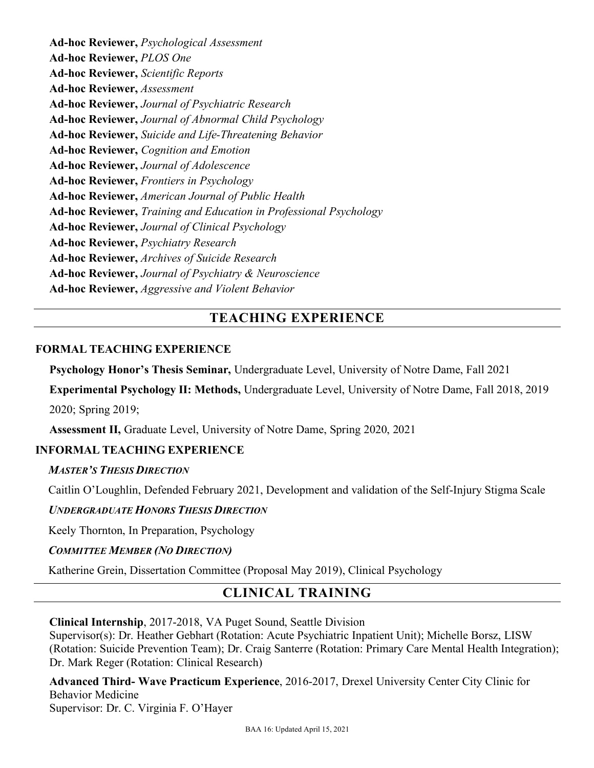**Ad-hoc Reviewer,** *Psychological Assessment* **Ad-hoc Reviewer,** *PLOS One* **Ad-hoc Reviewer,** *Scientific Reports* **Ad-hoc Reviewer,** *Assessment* **Ad-hoc Reviewer,** *Journal of Psychiatric Research* **Ad-hoc Reviewer,** *Journal of Abnormal Child Psychology* **Ad-hoc Reviewer,** *Suicide and Life-Threatening Behavior* **Ad-hoc Reviewer,** *Cognition and Emotion* **Ad-hoc Reviewer,** *Journal of Adolescence* **Ad-hoc Reviewer,** *Frontiers in Psychology* **Ad-hoc Reviewer,** *American Journal of Public Health* **Ad-hoc Reviewer,** *Training and Education in Professional Psychology* **Ad-hoc Reviewer,** *Journal of Clinical Psychology* **Ad-hoc Reviewer,** *Psychiatry Research* **Ad-hoc Reviewer,** *Archives of Suicide Research* **Ad-hoc Reviewer,** *Journal of Psychiatry & Neuroscience* **Ad-hoc Reviewer,** *Aggressive and Violent Behavior*

## **TEACHING EXPERIENCE**

### **FORMAL TEACHING EXPERIENCE**

**Psychology Honor's Thesis Seminar,** Undergraduate Level, University of Notre Dame, Fall 2021

**Experimental Psychology II: Methods,** Undergraduate Level, University of Notre Dame, Fall 2018, 2019

2020; Spring 2019;

**Assessment II,** Graduate Level, University of Notre Dame, Spring 2020, 2021

### **INFORMAL TEACHING EXPERIENCE**

### *MASTER'S THESIS DIRECTION*

Caitlin O'Loughlin, Defended February 2021, Development and validation of the Self-Injury Stigma Scale

### *UNDERGRADUATE HONORS THESIS DIRECTION*

Keely Thornton, In Preparation, Psychology

#### *COMMITTEE MEMBER (NO DIRECTION)*

Katherine Grein, Dissertation Committee (Proposal May 2019), Clinical Psychology

## **CLINICAL TRAINING**

#### **Clinical Internship**, 2017-2018, VA Puget Sound, Seattle Division

Supervisor(s): Dr. Heather Gebhart (Rotation: Acute Psychiatric Inpatient Unit); Michelle Borsz, LISW (Rotation: Suicide Prevention Team); Dr. Craig Santerre (Rotation: Primary Care Mental Health Integration); Dr. Mark Reger (Rotation: Clinical Research)

**Advanced Third- Wave Practicum Experience**, 2016-2017, Drexel University Center City Clinic for Behavior Medicine Supervisor: Dr. C. Virginia F. O'Hayer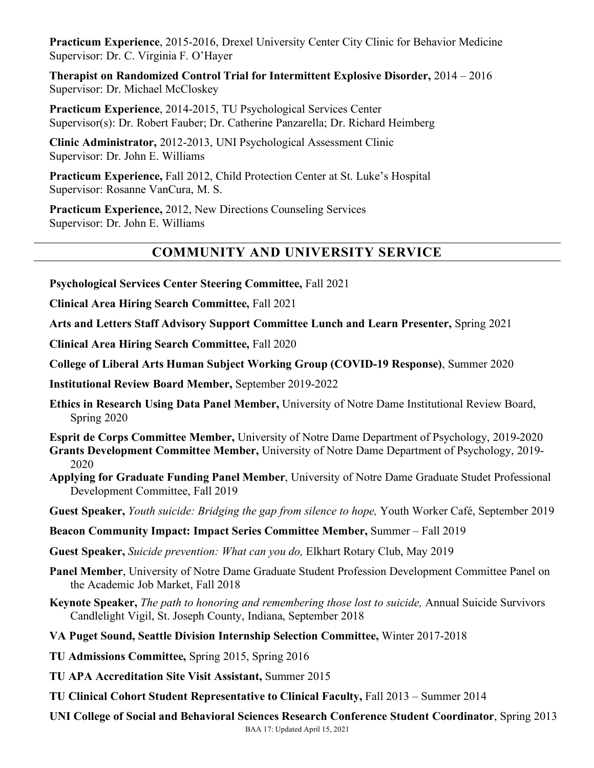**Practicum Experience**, 2015-2016, Drexel University Center City Clinic for Behavior Medicine Supervisor: Dr. C. Virginia F. O'Hayer

**Therapist on Randomized Control Trial for Intermittent Explosive Disorder,** 2014 – 2016 Supervisor: Dr. Michael McCloskey

**Practicum Experience**, 2014-2015, TU Psychological Services Center Supervisor(s): Dr. Robert Fauber; Dr. Catherine Panzarella; Dr. Richard Heimberg

**Clinic Administrator,** 2012-2013, UNI Psychological Assessment Clinic Supervisor: Dr. John E. Williams

**Practicum Experience,** Fall 2012, Child Protection Center at St. Luke's Hospital Supervisor: Rosanne VanCura, M. S.

**Practicum Experience,** 2012, New Directions Counseling Services Supervisor: Dr. John E. Williams

# **COMMUNITY AND UNIVERSITY SERVICE**

- **Psychological Services Center Steering Committee,** Fall 2021
- **Clinical Area Hiring Search Committee,** Fall 2021

**Arts and Letters Staff Advisory Support Committee Lunch and Learn Presenter,** Spring 2021

**Clinical Area Hiring Search Committee,** Fall 2020

**College of Liberal Arts Human Subject Working Group (COVID-19 Response)**, Summer 2020

**Institutional Review Board Member,** September 2019-2022

**Ethics in Research Using Data Panel Member,** University of Notre Dame Institutional Review Board, Spring 2020

**Esprit de Corps Committee Member,** University of Notre Dame Department of Psychology, 2019-2020 **Grants Development Committee Member,** University of Notre Dame Department of Psychology, 2019-

- 2020 **Applying for Graduate Funding Panel Member**, University of Notre Dame Graduate Studet Professional Development Committee, Fall 2019
- **Guest Speaker,** *Youth suicide: Bridging the gap from silence to hope,* Youth Worker Café, September 2019
- **Beacon Community Impact: Impact Series Committee Member,** Summer Fall 2019

**Guest Speaker,** *Suicide prevention: What can you do,* Elkhart Rotary Club, May 2019

- **Panel Member**, University of Notre Dame Graduate Student Profession Development Committee Panel on the Academic Job Market, Fall 2018
- **Keynote Speaker,** *The path to honoring and remembering those lost to suicide,* Annual Suicide Survivors Candlelight Vigil, St. Joseph County, Indiana, September 2018
- **VA Puget Sound, Seattle Division Internship Selection Committee,** Winter 2017-2018
- **TU Admissions Committee,** Spring 2015, Spring 2016
- **TU APA Accreditation Site Visit Assistant,** Summer 2015
- **TU Clinical Cohort Student Representative to Clinical Faculty,** Fall 2013 Summer 2014

**UNI College of Social and Behavioral Sciences Research Conference Student Coordinator**, Spring 2013